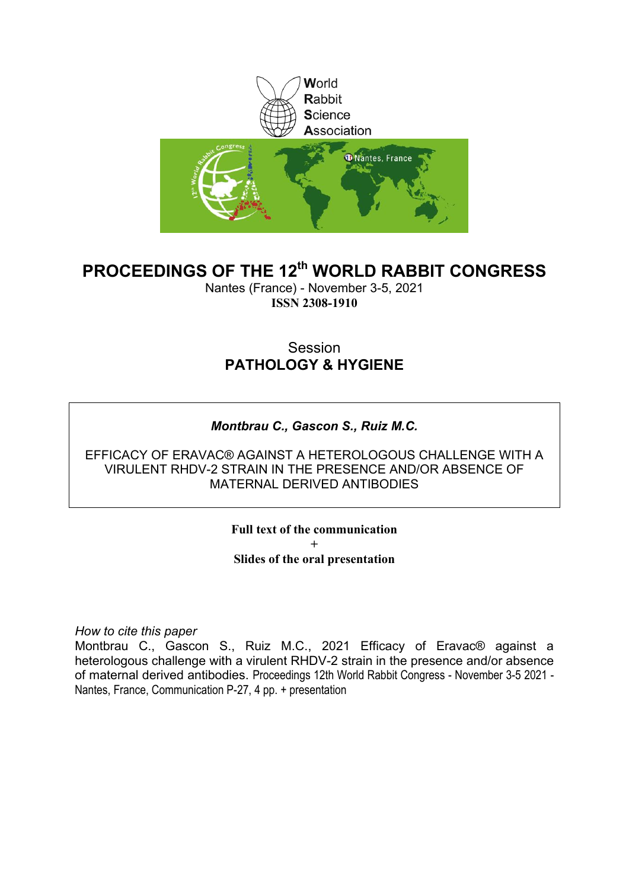

### **PROCEEDINGS OF THE 12th WORLD RABBIT CONGRESS**

Nantes (France) - November 3-5, 2021 **ISSN 2308-1910**

### Session **PATHOLOGY & HYGIENE**

### *Montbrau C., Gascon S., Ruiz M.C.*

EFFICACY OF ERAVAC® AGAINST A HETEROLOGOUS CHALLENGE WITH A VIRULENT RHDV-2 STRAIN IN THE PRESENCE AND/OR ABSENCE OF MATERNAL DERIVED ANTIBODIES

> **Full text of the communication + Slides of the oral presentation**

*How to cite this paper*

Montbrau C., Gascon S., Ruiz M.C., 2021 Efficacy of Eravac® against a heterologous challenge with a virulent RHDV-2 strain in the presence and/or absence of maternal derived antibodies. Proceedings 12th World Rabbit Congress - November 3-5 2021 - Nantes, France, Communication P-27, 4 pp. + presentation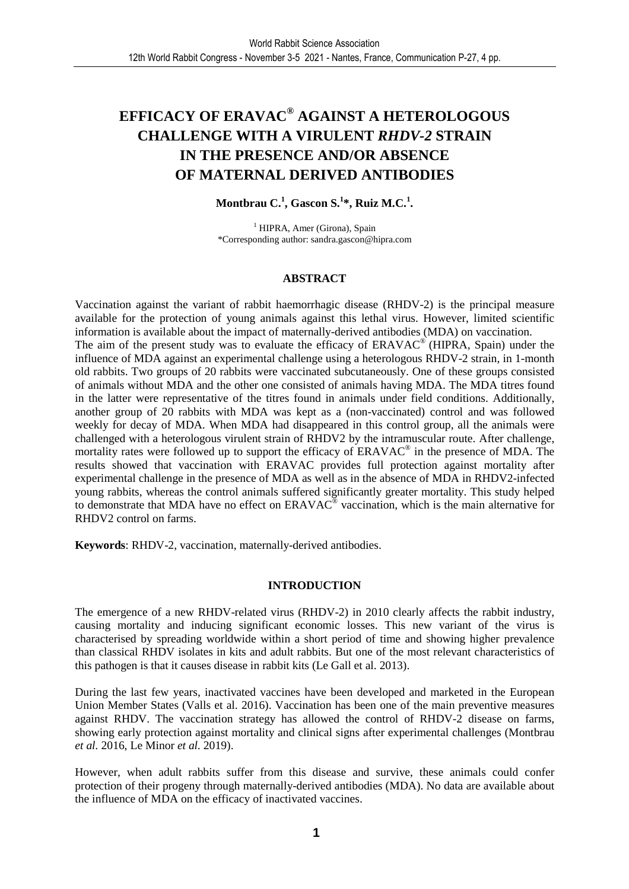### **EFFICACY OF ERAVAC® AGAINST A HETEROLOGOUS CHALLENGE WITH A VIRULENT** *RHDV-2* **STRAIN IN THE PRESENCE AND/OR ABSENCE OF MATERNAL DERIVED ANTIBODIES**

**Montbrau C.<sup>1</sup> , Gascon S.<sup>1</sup> \*, Ruiz M.C.<sup>1</sup> .** 

<sup>1</sup> HIPRA, Amer (Girona), Spain \*Corresponding author: sandra.gascon@hipra.com

### **ABSTRACT**

Vaccination against the variant of rabbit haemorrhagic disease (RHDV-2) is the principal measure available for the protection of young animals against this lethal virus. However, limited scientific information is available about the impact of maternally-derived antibodies (MDA) on vaccination. The aim of the present study was to evaluate the efficacy of ERAVAC<sup>®</sup> (HIPRA, Spain) under the influence of MDA against an experimental challenge using a heterologous RHDV-2 strain, in 1-month old rabbits. Two groups of 20 rabbits were vaccinated subcutaneously. One of these groups consisted of animals without MDA and the other one consisted of animals having MDA. The MDA titres found in the latter were representative of the titres found in animals under field conditions. Additionally, another group of 20 rabbits with MDA was kept as a (non-vaccinated) control and was followed weekly for decay of MDA. When MDA had disappeared in this control group, all the animals were challenged with a heterologous virulent strain of RHDV2 by the intramuscular route. After challenge, mortality rates were followed up to support the efficacy of ERAVAC<sup>®</sup> in the presence of MDA. The results showed that vaccination with ERAVAC provides full protection against mortality after experimental challenge in the presence of MDA as well as in the absence of MDA in RHDV2-infected young rabbits, whereas the control animals suffered significantly greater mortality. This study helped to demonstrate that MDA have no effect on  $ERAVAC^{\circ}$  vaccination, which is the main alternative for RHDV2 control on farms.

**Keywords**: RHDV-2, vaccination, maternally-derived antibodies.

### **INTRODUCTION**

The emergence of a new RHDV-related virus (RHDV-2) in 2010 clearly affects the rabbit industry, causing mortality and inducing significant economic losses. This new variant of the virus is characterised by spreading worldwide within a short period of time and showing higher prevalence than classical RHDV isolates in kits and adult rabbits. But one of the most relevant characteristics of this pathogen is that it causes disease in rabbit kits (Le Gall et al. 2013).

During the last few years, inactivated vaccines have been developed and marketed in the European Union Member States (Valls et al. 2016). Vaccination has been one of the main preventive measures against RHDV. The vaccination strategy has allowed the control of RHDV-2 disease on farms, showing early protection against mortality and clinical signs after experimental challenges (Montbrau *et al.* 2016, Le Minor *et al.* 2019).

However, when adult rabbits suffer from this disease and survive, these animals could confer protection of their progeny through maternally-derived antibodies (MDA). No data are available about the influence of MDA on the efficacy of inactivated vaccines.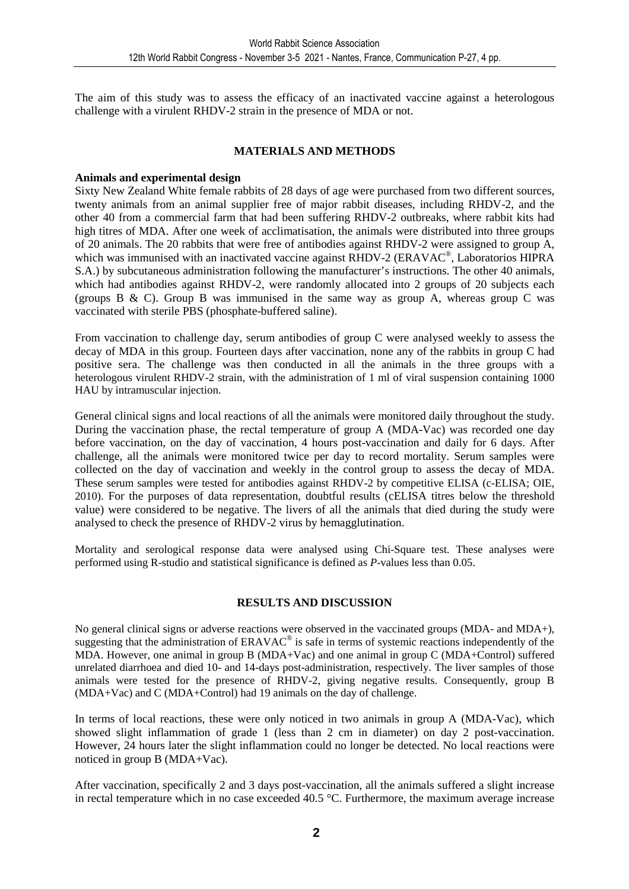The aim of this study was to assess the efficacy of an inactivated vaccine against a heterologous challenge with a virulent RHDV-2 strain in the presence of MDA or not.

### **MATERIALS AND METHODS**

#### **Animals and experimental design**

Sixty New Zealand White female rabbits of 28 days of age were purchased from two different sources, twenty animals from an animal supplier free of major rabbit diseases, including RHDV-2, and the other 40 from a commercial farm that had been suffering RHDV-2 outbreaks, where rabbit kits had high titres of MDA. After one week of acclimatisation, the animals were distributed into three groups of 20 animals. The 20 rabbits that were free of antibodies against RHDV-2 were assigned to group A, which was immunised with an inactivated vaccine against RHDV-2 (ERAVAC®, Laboratorios HIPRA S.A.) by subcutaneous administration following the manufacturer's instructions. The other 40 animals, which had antibodies against RHDV-2, were randomly allocated into 2 groups of 20 subjects each (groups B  $\&$  C). Group B was immunised in the same way as group A, whereas group C was vaccinated with sterile PBS (phosphate-buffered saline).

From vaccination to challenge day, serum antibodies of group C were analysed weekly to assess the decay of MDA in this group. Fourteen days after vaccination, none any of the rabbits in group C had positive sera. The challenge was then conducted in all the animals in the three groups with a heterologous virulent RHDV-2 strain, with the administration of 1 ml of viral suspension containing 1000 HAU by intramuscular injection.

General clinical signs and local reactions of all the animals were monitored daily throughout the study. During the vaccination phase, the rectal temperature of group A (MDA-Vac) was recorded one day before vaccination, on the day of vaccination, 4 hours post-vaccination and daily for 6 days. After challenge, all the animals were monitored twice per day to record mortality. Serum samples were collected on the day of vaccination and weekly in the control group to assess the decay of MDA. These serum samples were tested for antibodies against RHDV-2 by competitive ELISA (c-ELISA; OIE, 2010). For the purposes of data representation, doubtful results (cELISA titres below the threshold value) were considered to be negative. The livers of all the animals that died during the study were analysed to check the presence of RHDV-2 virus by hemagglutination.

Mortality and serological response data were analysed using Chi-Square test. These analyses were performed using R-studio and statistical significance is defined as *P*-values less than 0.05.

### **RESULTS AND DISCUSSION**

No general clinical signs or adverse reactions were observed in the vaccinated groups (MDA- and MDA+), suggesting that the administration of  $ERAVAC^{\circledast}$  is safe in terms of systemic reactions independently of the MDA. However, one animal in group B (MDA+Vac) and one animal in group C (MDA+Control) suffered unrelated diarrhoea and died 10- and 14-days post-administration, respectively. The liver samples of those animals were tested for the presence of RHDV-2, giving negative results. Consequently, group B (MDA+Vac) and C (MDA+Control) had 19 animals on the day of challenge.

In terms of local reactions, these were only noticed in two animals in group A (MDA-Vac), which showed slight inflammation of grade 1 (less than 2 cm in diameter) on day 2 post-vaccination. However, 24 hours later the slight inflammation could no longer be detected. No local reactions were noticed in group B (MDA+Vac).

After vaccination, specifically 2 and 3 days post-vaccination, all the animals suffered a slight increase in rectal temperature which in no case exceeded 40.5 °C. Furthermore, the maximum average increase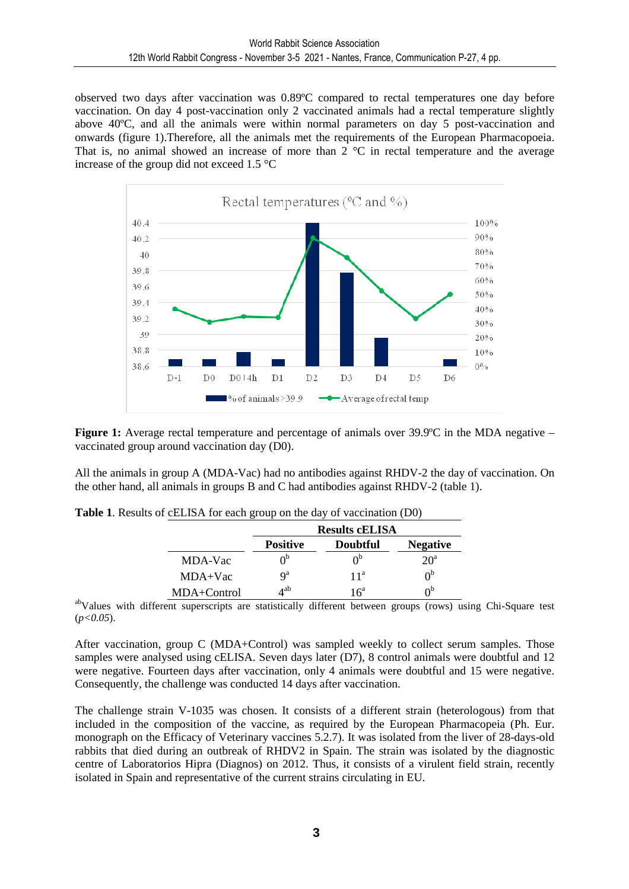observed two days after vaccination was 0.89ºC compared to rectal temperatures one day before vaccination. On day 4 post-vaccination only 2 vaccinated animals had a rectal temperature slightly above 40ºC, and all the animals were within normal parameters on day 5 post-vaccination and onwards (figure 1).Therefore, all the animals met the requirements of the European Pharmacopoeia. That is, no animal showed an increase of more than  $2^{\circ}$ C in rectal temperature and the average increase of the group did not exceed 1.5 °C



**Figure 1:** Average rectal temperature and percentage of animals over 39.9°C in the MDA negative – vaccinated group around vaccination day (D0).

All the animals in group A (MDA-Vac) had no antibodies against RHDV-2 the day of vaccination. On the other hand, all animals in groups B and C had antibodies against RHDV-2 (table 1).

|             | <b>Results cELISA</b>   |                 |                 |
|-------------|-------------------------|-----------------|-----------------|
|             | <b>Positive</b>         | <b>Doubtful</b> | <b>Negative</b> |
| MDA-Vac     |                         |                 | $20^a$          |
| $MDA+Vac$   | $\mathbf{Q}^{\text{a}}$ | 11 <sup>a</sup> | $\Omega_{p}$    |
| MDA+Control | 4 ab                    | $16^a$          | ∩Ե              |

**Table 1**. Results of cELISA for each group on the day of vaccination (D0)

abValues with different superscripts are statistically different between groups (rows) using Chi-Square test (*p<0.05*).

After vaccination, group C (MDA+Control) was sampled weekly to collect serum samples. Those samples were analysed using cELISA. Seven days later (D7), 8 control animals were doubtful and 12 were negative. Fourteen days after vaccination, only 4 animals were doubtful and 15 were negative. Consequently, the challenge was conducted 14 days after vaccination.

The challenge strain V-1035 was chosen. It consists of a different strain (heterologous) from that included in the composition of the vaccine, as required by the European Pharmacopeia (Ph. Eur. monograph on the Efficacy of Veterinary vaccines 5.2.7). It was isolated from the liver of 28-days-old rabbits that died during an outbreak of RHDV2 in Spain. The strain was isolated by the diagnostic centre of Laboratorios Hipra (Diagnos) on 2012. Thus, it consists of a virulent field strain, recently isolated in Spain and representative of the current strains circulating in EU.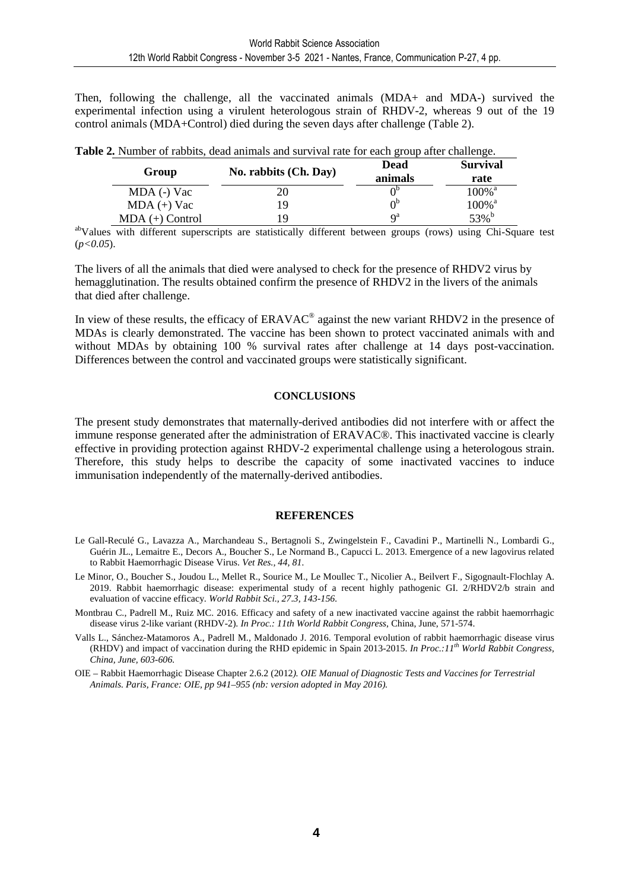Then, following the challenge, all the vaccinated animals (MDA+ and MDA-) survived the experimental infection using a virulent heterologous strain of RHDV-2, whereas 9 out of the 19 control animals (MDA+Control) died during the seven days after challenge (Table 2).

| Group             | No. rabbits (Ch. Day) | <b>Dead</b><br>animals | <b>Survival</b><br>rate |
|-------------------|-----------------------|------------------------|-------------------------|
| MDA (-) Vac       | 20                    |                        | $100\%$ <sup>a</sup>    |
| $MDA (+)$ Vac     | 19                    | $0^{\rm b}$            | $100\%$ <sup>a</sup>    |
| $MDA (+)$ Control | 19                    | $Q^a$                  | 53% <sup>b</sup>        |

**Table 2.** Number of rabbits, dead animals and survival rate for each group after challenge.

abValues with different superscripts are statistically different between groups (rows) using Chi-Square test (*p<0.05*).

The livers of all the animals that died were analysed to check for the presence of RHDV2 virus by hemagglutination. The results obtained confirm the presence of RHDV2 in the livers of the animals that died after challenge.

In view of these results, the efficacy of  $ERAVAC^{\circ}$  against the new variant RHDV2 in the presence of MDAs is clearly demonstrated. The vaccine has been shown to protect vaccinated animals with and without MDAs by obtaining 100 % survival rates after challenge at 14 days post-vaccination. Differences between the control and vaccinated groups were statistically significant.

### **CONCLUSIONS**

The present study demonstrates that maternally-derived antibodies did not interfere with or affect the immune response generated after the administration of ERAVAC®. This inactivated vaccine is clearly effective in providing protection against RHDV-2 experimental challenge using a heterologous strain. Therefore, this study helps to describe the capacity of some inactivated vaccines to induce immunisation independently of the maternally-derived antibodies.

### **REFERENCES**

- Le Gall-Reculé G., Lavazza A., Marchandeau S., Bertagnoli S., Zwingelstein F., Cavadini P., Martinelli N., Lombardi G., Guérin JL., Lemaitre E., Decors A., Boucher S., Le Normand B., Capucci L. 2013. Emergence of a new lagovirus related to Rabbit Haemorrhagic Disease Virus. *Vet Res., 44, 81.*
- Le Minor, O., Boucher S., Joudou L., Mellet R., Sourice M., Le Moullec T., Nicolier A., Beilvert F., Sigognault-Flochlay A. 2019. Rabbit haemorrhagic disease: experimental study of a recent highly pathogenic GI. 2/RHDV2/b strain and evaluation of vaccine efficacy. *World Rabbit Sci., 27.3, 143-156.*
- Montbrau C., Padrell M., Ruiz MC. 2016. Efficacy and safety of a new inactivated vaccine against the rabbit haemorrhagic disease virus 2-like variant (RHDV-2). *In Proc.: 11th World Rabbit Congress*, China, June, 571-574.
- Valls L., Sánchez-Matamoros A., Padrell M., Maldonado J. 2016. Temporal evolution of rabbit haemorrhagic disease virus (RHDV) and impact of vaccination during the RHD epidemic in Spain 2013-2015. *In Proc.:11th World Rabbit Congress, China, June, 603-606.*

OIE – Rabbit Haemorrhagic Disease Chapter 2.6.2 (2012*). OIE Manual of Diagnostic Tests and Vaccines for Terrestrial Animals. Paris, France: OIE, pp 941–955 (nb: version adopted in May 2016).*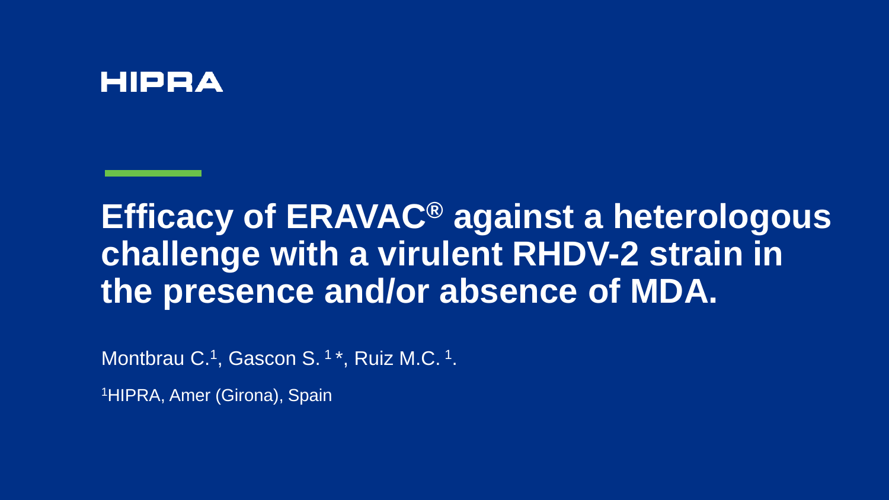### **HIPRA**

# **Efficacy of ERAVAC® against a heterologous challenge with a virulent RHDV-2 strain in the presence and/or absence of MDA.**

Montbrau C.<sup>1</sup>, Gascon S.<sup>1\*</sup>, Ruiz M.C.<sup>1</sup>.

1HIPRA, Amer (Girona), Spain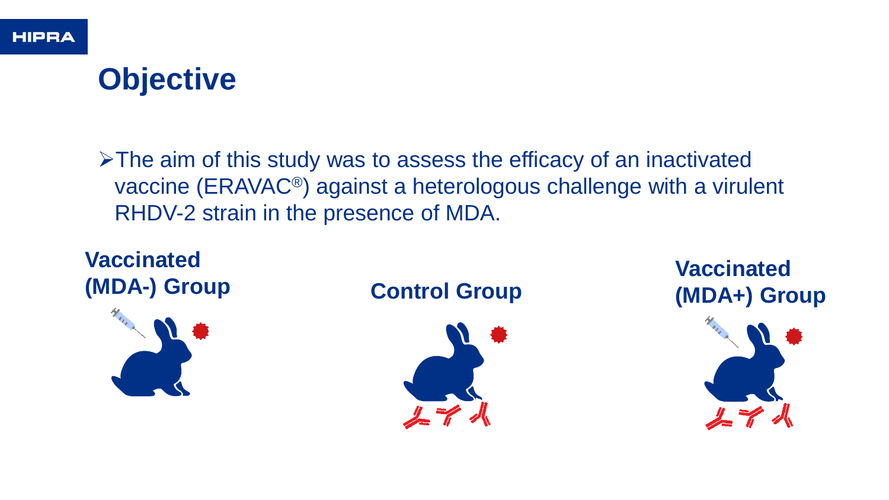# **Objective**

➢The aim of this study was to assess the efficacy of an inactivated vaccine (ERAVAC®) against a heterologous challenge with a virulent RHDV-2 strain in the presence of MDA.

### **Vaccinated (MDA-) Group**





**Vaccinated Control Group (MDA+) Group**

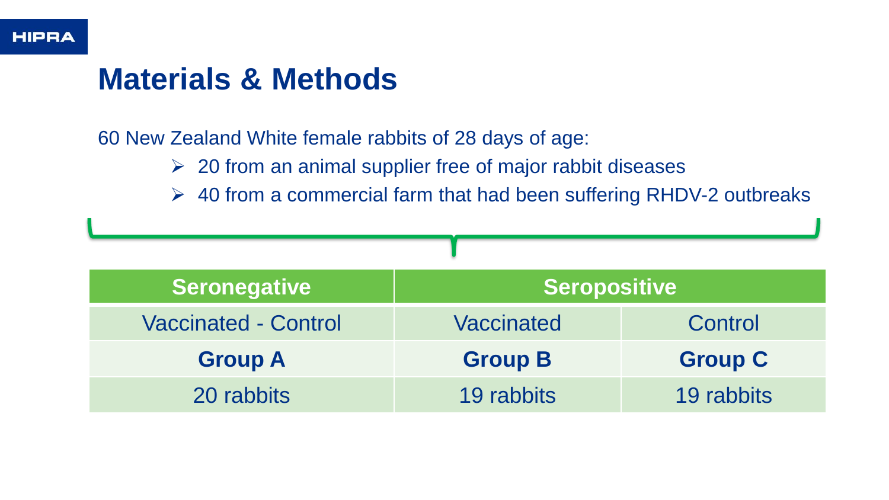## **Materials & Methods**

60 New Zealand White female rabbits of 28 days of age:

- ➢ 20 from an animal supplier free of major rabbit diseases
- $\geq$  40 from a commercial farm that had been suffering RHDV-2 outbreaks

| <b>Seronegative</b>         | <b>Seropositive</b> |                |  |  |  |
|-----------------------------|---------------------|----------------|--|--|--|
| <b>Vaccinated - Control</b> | Vaccinated          | Control        |  |  |  |
| <b>Group A</b>              | <b>Group B</b>      | <b>Group C</b> |  |  |  |
| 20 rabbits                  | 19 rabbits          | 19 rabbits     |  |  |  |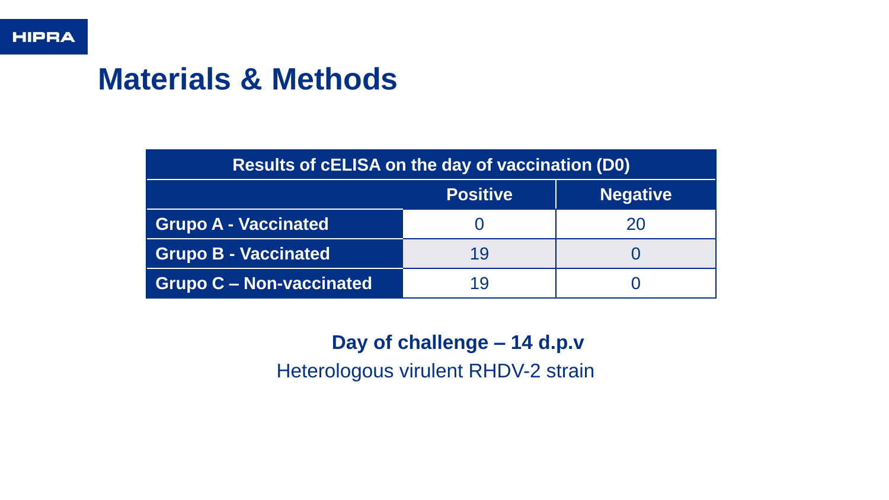# **Materials & Methods**

| Results of cELISA on the day of vaccination (D0) |                 |                 |  |  |
|--------------------------------------------------|-----------------|-----------------|--|--|
|                                                  | <b>Positive</b> | <b>Negative</b> |  |  |
| <b>Grupo A - Vaccinated</b>                      |                 | 20              |  |  |
| <b>Grupo B - Vaccinated</b>                      | 19              |                 |  |  |
| <b>Grupo C - Non-vaccinated</b>                  | 19              |                 |  |  |

**Day of challenge – 14 d.p.v**

Heterologous virulent RHDV-2 strain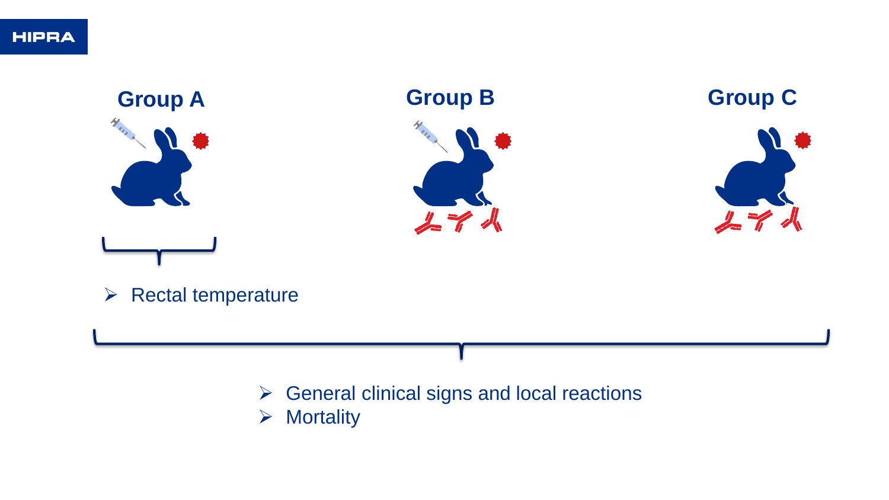

- ➢ General clinical signs and local reactions
- ➢ Mortality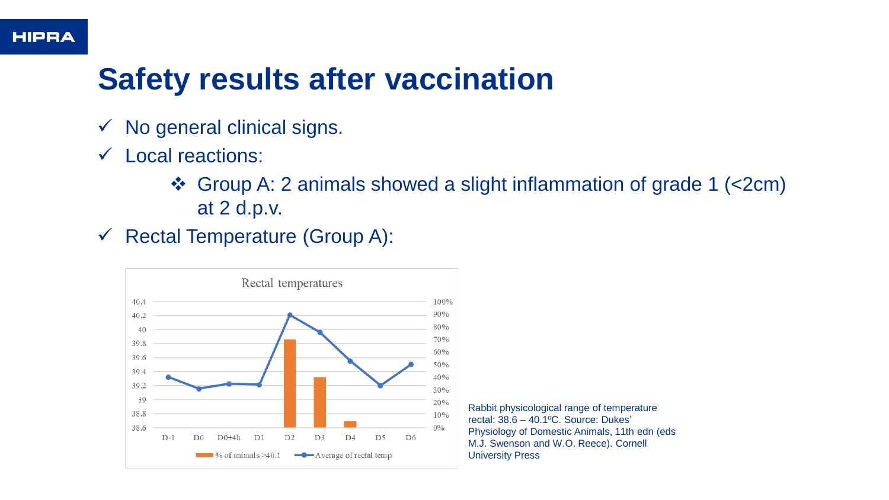# **Safety results after vaccination**

- $\checkmark$  No general clinical signs.
- ✓ Local reactions:
	- ❖ Group A: 2 animals showed a slight inflammation of grade 1 (<2cm) at 2 d.p.v.
- $\checkmark$  Rectal Temperature (Group A):



Rabbit physicological range of temperature rectal: 38.6 – 40.1ºC. Source: Dukes' Physiology of Domestic Animals, 11th edn (eds M.J. Swenson and W.O. Reece). Cornell University Press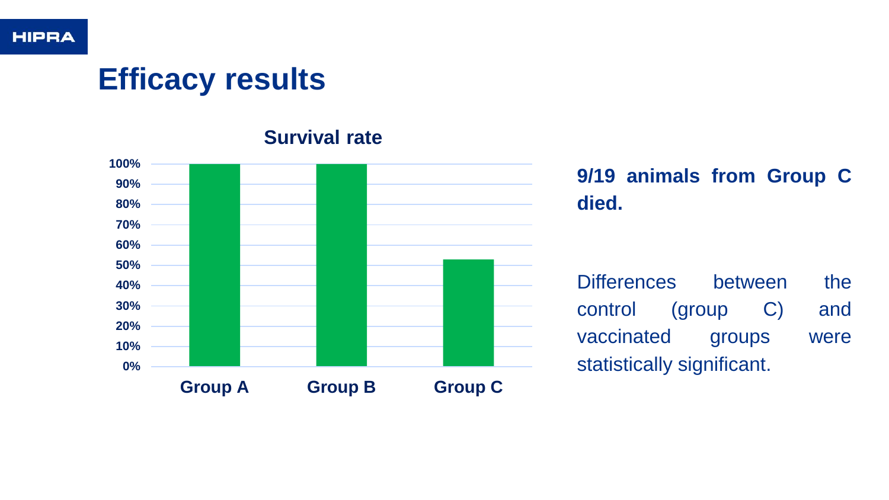# **Efficacy results**



**Survival rate**

**9/19 animals from Group C died.**

Differences between the control (group C) and vaccinated groups were statistically significant.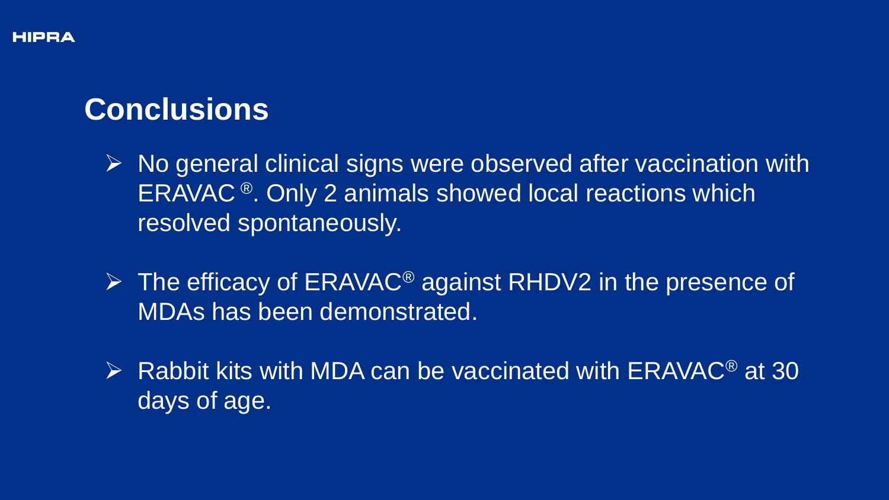# **Conclusions**

- ➢ No general clinical signs were observed after vaccination with ERAVAC ®. Only 2 animals showed local reactions which resolved spontaneously.
- ➢ The efficacy of ERAVAC® against RHDV2 in the presence of MDAs has been demonstrated.
- $\triangleright$  Rabbit kits with MDA can be vaccinated with ERAVAC<sup>®</sup> at 30 days of age.